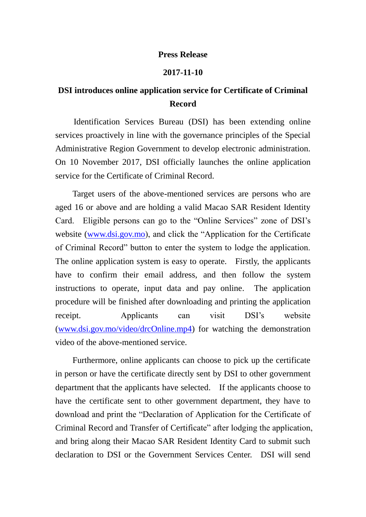## **Press Release**

## **2017-11-10**

## **DSI introduces online application service for Certificate of Criminal Record**

 Identification Services Bureau (DSI) has been extending online services proactively in line with the governance principles of the Special Administrative Region Government to develop electronic administration. On 10 November 2017, DSI officially launches the online application service for the Certificate of Criminal Record.

 Target users of the above-mentioned services are persons who are aged 16 or above and are holding a valid Macao SAR Resident Identity Card. Eligible persons can go to the "Online Services" zone of DSI's website [\(www.dsi.gov.mo\)](http://www.dsi.gov.mo/), and click the "Application for the Certificate of Criminal Record" button to enter the system to lodge the application. The online application system is easy to operate. Firstly, the applicants have to confirm their email address, and then follow the system instructions to operate, input data and pay online. The application procedure will be finished after downloading and printing the application receipt. Applicants can visit DSI's website [\(www.dsi.gov.mo/video/drcOnline.mp4\)](http://www.dsi.gov.mo/video/drcOnline.mp4) for watching the demonstration video of the above-mentioned service.

 Furthermore, online applicants can choose to pick up the certificate in person or have the certificate directly sent by DSI to other government department that the applicants have selected. If the applicants choose to have the certificate sent to other government department, they have to download and print the "Declaration of Application for the Certificate of Criminal Record and Transfer of Certificate" after lodging the application, and bring along their Macao SAR Resident Identity Card to submit such declaration to DSI or the Government Services Center. DSI will send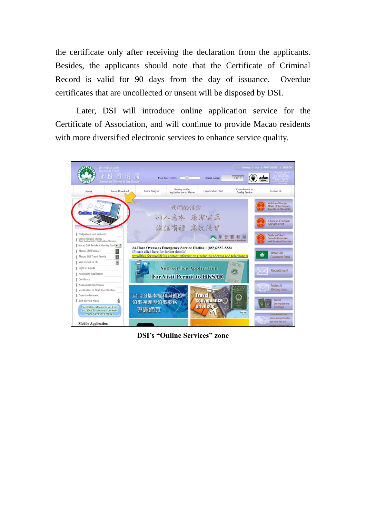the certificate only after receiving the declaration from the applicants. Besides, the applicants should note that the Certificate of Criminal Record is valid for 90 days from the day of issuance. Overdue certificates that are uncollected or unsent will be disposed by DSI.

 Later, DSI will introduce online application service for the Certificate of Association, and will continue to provide Macao residents with more diversified electronic services to enhance service quality.



**DSI's "Online Services" zone**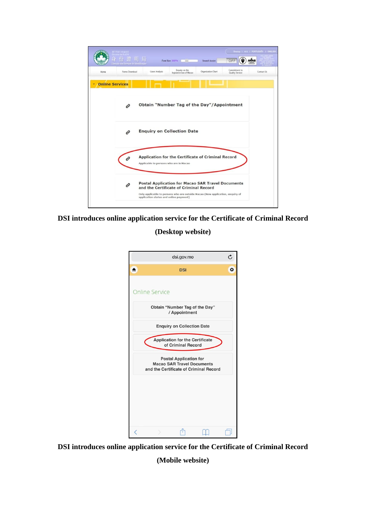

**DSI introduces online application service for the Certificate of Criminal Record**

**(Desktop website)**



**DSI introduces online application service for the Certificate of Criminal Record**

**(Mobile website)**